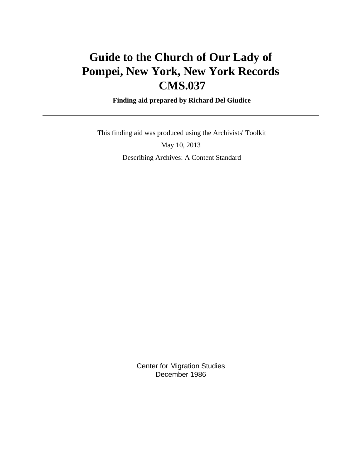# **Guide to the Church of Our Lady of Pompei, New York, New York Records CMS.037**

 **Finding aid prepared by Richard Del Giudice**

 This finding aid was produced using the Archivists' Toolkit May 10, 2013 Describing Archives: A Content Standard

> Center for Migration Studies December 1986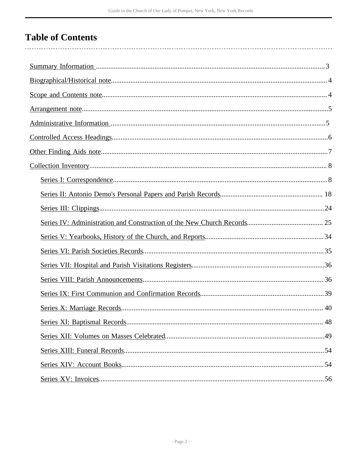# **Table of Contents**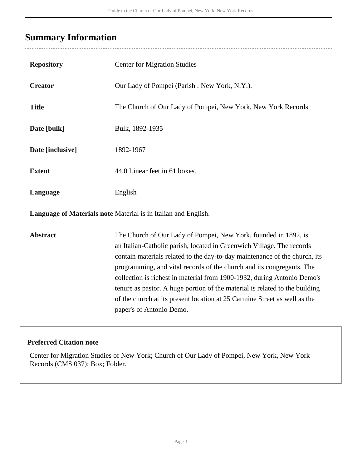# <span id="page-2-0"></span>**Summary Information**

 $\overline{a}$ 

| <b>Repository</b>                                              | <b>Center for Migration Studies</b>                                                                                                                                                                                                                                                                                                                                                                                                                                                                                                                                |
|----------------------------------------------------------------|--------------------------------------------------------------------------------------------------------------------------------------------------------------------------------------------------------------------------------------------------------------------------------------------------------------------------------------------------------------------------------------------------------------------------------------------------------------------------------------------------------------------------------------------------------------------|
| <b>Creator</b>                                                 | Our Lady of Pompei (Parish: New York, N.Y.).                                                                                                                                                                                                                                                                                                                                                                                                                                                                                                                       |
| <b>Title</b>                                                   | The Church of Our Lady of Pompei, New York, New York Records                                                                                                                                                                                                                                                                                                                                                                                                                                                                                                       |
| Date [bulk]                                                    | Bulk, 1892-1935                                                                                                                                                                                                                                                                                                                                                                                                                                                                                                                                                    |
| Date [inclusive]                                               | 1892-1967                                                                                                                                                                                                                                                                                                                                                                                                                                                                                                                                                          |
| <b>Extent</b>                                                  | 44.0 Linear feet in 61 boxes.                                                                                                                                                                                                                                                                                                                                                                                                                                                                                                                                      |
| Language                                                       | English                                                                                                                                                                                                                                                                                                                                                                                                                                                                                                                                                            |
| Language of Materials note Material is in Italian and English. |                                                                                                                                                                                                                                                                                                                                                                                                                                                                                                                                                                    |
| <b>Abstract</b>                                                | The Church of Our Lady of Pompei, New York, founded in 1892, is<br>an Italian-Catholic parish, located in Greenwich Village. The records<br>contain materials related to the day-to-day maintenance of the church, its<br>programming, and vital records of the church and its congregants. The<br>collection is richest in material from 1900-1932, during Antonio Demo's<br>tenure as pastor. A huge portion of the material is related to the building<br>of the church at its present location at 25 Carmine Street as well as the<br>paper's of Antonio Demo. |

## **Preferred Citation note**

Center for Migration Studies of New York; Church of Our Lady of Pompei, New York, New York Records (CMS 037); Box; Folder.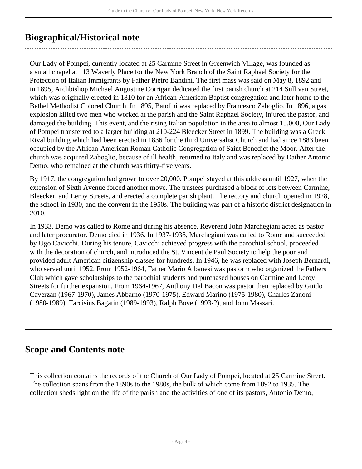## <span id="page-3-0"></span>**Biographical/Historical note**

Our Lady of Pompei, currently located at 25 Carmine Street in Greenwich Village, was founded as a small chapel at 113 Waverly Place for the New York Branch of the Saint Raphael Society for the Protection of Italian Immigrants by Father Pietro Bandini. The first mass was said on May 8, 1892 and in 1895, Archbishop Michael Augustine Corrigan dedicated the first parish church at 214 Sullivan Street, which was originally erected in 1810 for an African-American Baptist congregation and later home to the Bethel Methodist Colored Church. In 1895, Bandini was replaced by Francesco Zaboglio. In 1896, a gas explosion killed two men who worked at the parish and the Saint Raphael Society, injured the pastor, and damaged the building. This event, and the rising Italian population in the area to almost 15,000, Our Lady of Pompei transferred to a larger building at 210-224 Bleecker Street in 1899. The building was a Greek Rival building which had been erected in 1836 for the third Universalist Church and had since 1883 been occupied by the African-American Roman Catholic Congregation of Saint Benedict the Moor. After the church was acquired Zaboglio, because of ill health, returned to Italy and was replaced by Dather Antonio Demo, who remained at the church was thirty-five years.

By 1917, the congregation had grown to over 20,000. Pompei stayed at this address until 1927, when the extension of Sixth Avenue forced another move. The trustees purchased a block of lots between Carmine, Bleecker, and Leroy Streets, and erected a complete parish plant. The rectory and church opened in 1928, the school in 1930, and the convent in the 1950s. The building was part of a historic district designation in 2010.

In 1933, Demo was called to Rome and during his absence, Reverend John Marchegiani acted as pastor and later procurator. Demo died in 1936. In 1937-1938, Marchegiani was called to Rome and succeeded by Ugo Cavicchi. During his tenure, Cavicchi achieved progress with the parochial school, proceeded with the decoration of church, and introduced the St. Vincent de Paul Society to help the poor and provided adult American citizenship classes for hundreds. In 1946, he was replaced with Joseph Bernardi, who served until 1952. From 1952-1964, Father Mario Albanesi was pastorm who organized the Fathers Club which gave scholarships to the parochial students and purchased houses on Carmine and Leroy Streets for further expansion. From 1964-1967, Anthony Del Bacon was pastor then replaced by Guido Caverzan (1967-1970), James Abbarno (1970-1975), Edward Marino (1975-1980), Charles Zanoni (1980-1989), Tarcisius Bagatin (1989-1993), Ralph Bove (1993-?), and John Massari.

## <span id="page-3-1"></span>**Scope and Contents note**

This collection contains the records of the Church of Our Lady of Pompei, located at 25 Carmine Street. The collection spans from the 1890s to the 1980s, the bulk of which come from 1892 to 1935. The collection sheds light on the life of the parish and the activities of one of its pastors, Antonio Demo,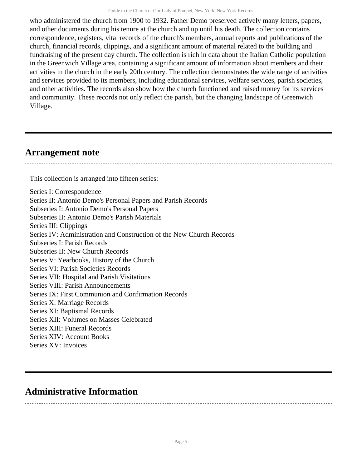who administered the church from 1900 to 1932. Father Demo preserved actively many letters, papers, and other documents during his tenure at the church and up until his death. The collection contains correspondence, registers, vital records of the church's members, annual reports and publications of the church, financial records, clippings, and a significant amount of material related to the building and fundraising of the present day church. The collection is rich in data about the Italian Catholic population in the Greenwich Village area, containing a significant amount of information about members and their activities in the church in the early 20th century. The collection demonstrates the wide range of activities and services provided to its members, including educational services, welfare services, parish societies, and other activities. The records also show how the church functioned and raised money for its services and community. These records not only reflect the parish, but the changing landscape of Greenwich Village.

## <span id="page-4-0"></span>**Arrangement note**

This collection is arranged into fifteen series:

Series I: Correspondence Series II: Antonio Demo's Personal Papers and Parish Records Subseries I: Antonio Demo's Personal Papers Subseries II: Antonio Demo's Parish Materials Series III: Clippings Series IV: Administration and Construction of the New Church Records Subseries I: Parish Records Subseries II: New Church Records Series V: Yearbooks, History of the Church Series VI: Parish Societies Records Series VII: Hospital and Parish Visitations Series VIII: Parish Announcements Series IX: First Communion and Confirmation Records Series X: Marriage Records Series XI: Baptismal Records Series XII: Volumes on Masses Celebrated Series XIII: Funeral Records Series XIV: Account Books Series XV: Invoices

## <span id="page-4-1"></span>**Administrative Information**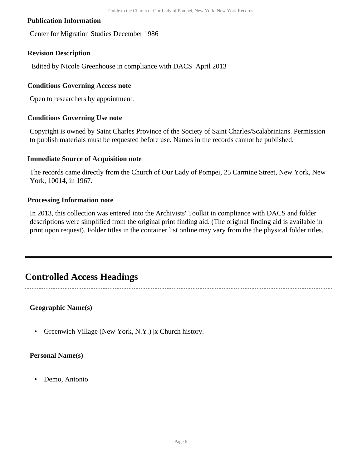### **Publication Information**

Center for Migration Studies December 1986

#### **Revision Description**

Edited by Nicole Greenhouse in compliance with DACS April 2013

#### **Conditions Governing Access note**

Open to researchers by appointment.

#### **Conditions Governing Use note**

Copyright is owned by Saint Charles Province of the Society of Saint Charles/Scalabrinians. Permission to publish materials must be requested before use. Names in the records cannot be published.

#### **Immediate Source of Acquisition note**

The records came directly from the Church of Our Lady of Pompei, 25 Carmine Street, New York, New York, 10014, in 1967.

#### **Processing Information note**

In 2013, this collection was entered into the Archivists' Toolkit in compliance with DACS and folder descriptions were simplified from the original print finding aid. (The original finding aid is available in print upon request). Folder titles in the container list online may vary from the the physical folder titles.

## <span id="page-5-0"></span>**Controlled Access Headings**

**Geographic Name(s)**

• Greenwich Village (New York, N.Y.) |x Church history.

#### **Personal Name(s)**

• Demo, Antonio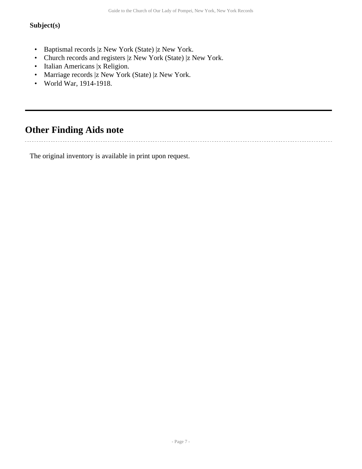## **Subject(s)**

- Baptismal records |z New York (State) |z New York.
- Church records and registers |z New York (State) |z New York.
- Italian Americans |x Religion.
- Marriage records |z New York (State) |z New York.
- World War, 1914-1918.

## <span id="page-6-0"></span>**Other Finding Aids note**

The original inventory is available in print upon request.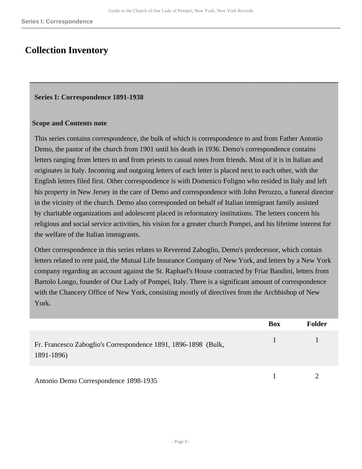## <span id="page-7-0"></span>**Collection Inventory**

#### <span id="page-7-1"></span>**Series I: Correspondence 1891-1938**

#### **Scope and Contents note**

This series contains correspondence, the bulk of which is correspondence to and from Father Antonio Demo, the pastor of the church from 1901 until his death in 1936. Demo's correspondence contains letters ranging from letters to and from priests to casual notes from friends. Most of it is in Italian and originates in Italy. Incoming and outgoing letters of each letter is placed next to each other, with the English letters filed first. Other correspondence is with Domenico Foligno who resided in Italy and left his property in New Jersey in the care of Demo and correspondence with John Perozzo, a funeral director in the vicinity of the church. Demo also corresponded on behalf of Italian immigrant family assisted by charitable organizations and adolescent placed in reformatory institutions. The letters concern his religious and social service activities, his vision for a greater church Pompei, and his lifetime interest for the welfare of the Italian immigrants.

Other correspondence in this series relates to Reverend Zaboglio, Demo's predecessor, which contain letters related to rent paid, the Mutual Life Insurance Company of New York, and letters by a New York company regarding an account against the St. Raphael's House contracted by Friar Bandini, letters from Bartolo Longo, founder of Our Lady of Pompei, Italy. There is a significant amount of correspondence with the Chancery Office of New York, consisting mostly of directives from the Archbishop of New York.

|                                                                              | <b>Box</b> | <b>Folder</b> |
|------------------------------------------------------------------------------|------------|---------------|
| Fr. Francesco Zaboglio's Correspondence 1891, 1896-1898 (Bulk,<br>1891-1896) |            |               |
| Antonio Demo Correspondence 1898-1935                                        |            |               |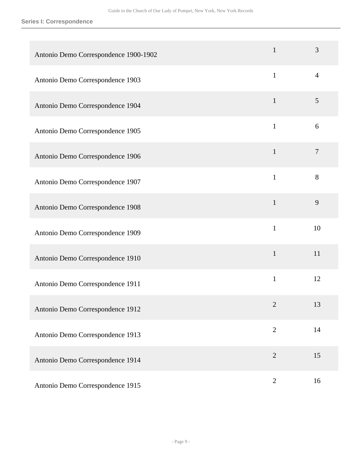| Antonio Demo Correspondence 1900-1902 | $\mathbf{1}$   | 3              |
|---------------------------------------|----------------|----------------|
| Antonio Demo Correspondence 1903      | $\mathbf{1}$   | 4              |
| Antonio Demo Correspondence 1904      | $\mathbf{1}$   | 5              |
| Antonio Demo Correspondence 1905      | $\mathbf{1}$   | 6              |
| Antonio Demo Correspondence 1906      | $\mathbf{1}$   | $\overline{7}$ |
| Antonio Demo Correspondence 1907      | $\mathbf{1}$   | 8              |
| Antonio Demo Correspondence 1908      | $\mathbf{1}$   | 9              |
| Antonio Demo Correspondence 1909      | $\mathbf{1}$   | 10             |
| Antonio Demo Correspondence 1910      | $\mathbf{1}$   | 11             |
| Antonio Demo Correspondence 1911      | $\mathbf{1}$   | 12             |
| Antonio Demo Correspondence 1912      | $\overline{2}$ | 13             |
| Antonio Demo Correspondence 1913      | $\overline{2}$ | 14             |
| Antonio Demo Correspondence 1914      | $\overline{2}$ | 15             |
| Antonio Demo Correspondence 1915      | $\sqrt{2}$     | 16             |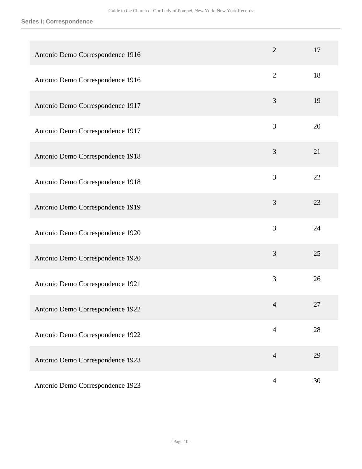| Antonio Demo Correspondence 1916 | $\overline{2}$ | 17 |
|----------------------------------|----------------|----|
| Antonio Demo Correspondence 1916 | $\overline{2}$ | 18 |
| Antonio Demo Correspondence 1917 | 3              | 19 |
| Antonio Demo Correspondence 1917 | 3              | 20 |
| Antonio Demo Correspondence 1918 | 3              | 21 |
| Antonio Demo Correspondence 1918 | 3              | 22 |
| Antonio Demo Correspondence 1919 | 3              | 23 |
| Antonio Demo Correspondence 1920 | 3              | 24 |
| Antonio Demo Correspondence 1920 | 3              | 25 |
| Antonio Demo Correspondence 1921 | 3              | 26 |
| Antonio Demo Correspondence 1922 | $\overline{4}$ | 27 |
| Antonio Demo Correspondence 1922 | $\overline{4}$ | 28 |
| Antonio Demo Correspondence 1923 | $\overline{4}$ | 29 |
| Antonio Demo Correspondence 1923 | $\overline{4}$ | 30 |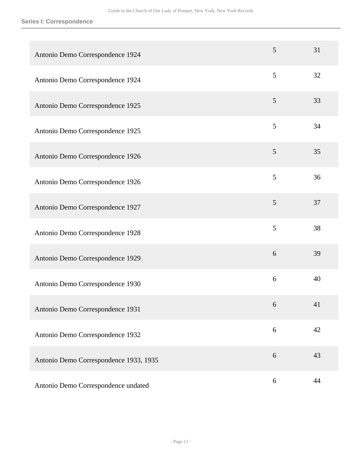| Antonio Demo Correspondence 1924       | 5 | 31 |
|----------------------------------------|---|----|
| Antonio Demo Correspondence 1924       | 5 | 32 |
| Antonio Demo Correspondence 1925       | 5 | 33 |
| Antonio Demo Correspondence 1925       | 5 | 34 |
| Antonio Demo Correspondence 1926       | 5 | 35 |
| Antonio Demo Correspondence 1926       | 5 | 36 |
| Antonio Demo Correspondence 1927       | 5 | 37 |
| Antonio Demo Correspondence 1928       | 5 | 38 |
| Antonio Demo Correspondence 1929       | 6 | 39 |
| Antonio Demo Correspondence 1930       | 6 | 40 |
| Antonio Demo Correspondence 1931       | 6 | 41 |
| Antonio Demo Correspondence 1932       | 6 | 42 |
| Antonio Demo Correspondence 1933, 1935 | 6 | 43 |
| Antonio Demo Correspondence undated    | 6 | 44 |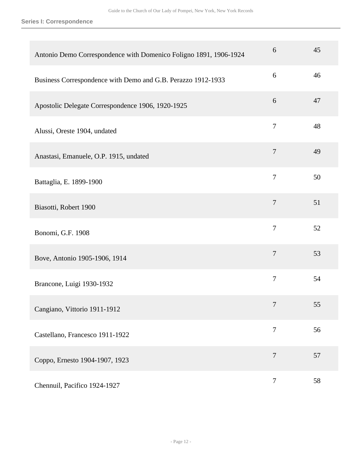| Antonio Demo Correspondence with Domenico Foligno 1891, 1906-1924 | 6              | 45 |
|-------------------------------------------------------------------|----------------|----|
| Business Correspondence with Demo and G.B. Perazzo 1912-1933      | 6              | 46 |
| Apostolic Delegate Correspondence 1906, 1920-1925                 | 6              | 47 |
| Alussi, Oreste 1904, undated                                      | 7              | 48 |
| Anastasi, Emanuele, O.P. 1915, undated                            | $\overline{7}$ | 49 |
| Battaglia, E. 1899-1900                                           | $\overline{7}$ | 50 |
| Biasotti, Robert 1900                                             | $\tau$         | 51 |
| Bonomi, G.F. 1908                                                 | $\overline{7}$ | 52 |
| Bove, Antonio 1905-1906, 1914                                     | $\overline{7}$ | 53 |
| Brancone, Luigi 1930-1932                                         | 7              | 54 |
| Cangiano, Vittorio 1911-1912                                      | 7              | 55 |
| Castellano, Francesco 1911-1922                                   | $\overline{7}$ | 56 |
| Coppo, Ernesto 1904-1907, 1923                                    | $\tau$         | 57 |
| Chennuil, Pacifico 1924-1927                                      | $\overline{7}$ | 58 |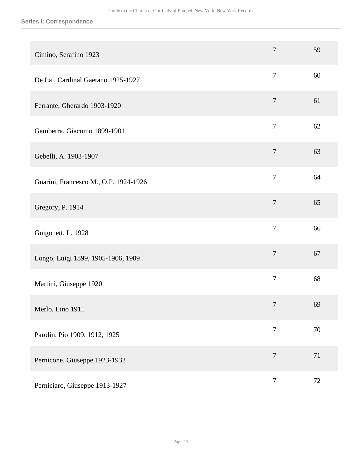| Cimino, Serafino 1923                 | $\overline{7}$   | 59 |
|---------------------------------------|------------------|----|
| De Lai, Cardinal Gaetano 1925-1927    | $\boldsymbol{7}$ | 60 |
| Ferrante, Gherardo 1903-1920          | $\boldsymbol{7}$ | 61 |
| Gamberra, Giacomo 1899-1901           | $\overline{7}$   | 62 |
| Gebelli, A. 1903-1907                 | $\boldsymbol{7}$ | 63 |
| Guarini, Francesco M., O.P. 1924-1926 | $\overline{7}$   | 64 |
| Gregory, P. 1914                      | $\overline{7}$   | 65 |
| Guigonett, L. 1928                    | $\overline{7}$   | 66 |
| Longo, Luigi 1899, 1905-1906, 1909    | $\overline{7}$   | 67 |
| Martini, Giuseppe 1920                | $\boldsymbol{7}$ | 68 |
| Merlo, Lino 1911                      | $\overline{7}$   | 69 |
| Parolin, Pio 1909, 1912, 1925         | $\overline{7}$   | 70 |
| Pernicone, Giuseppe 1923-1932         | $\overline{7}$   | 71 |
| Perniciaro, Giuseppe 1913-1927        | $\overline{7}$   | 72 |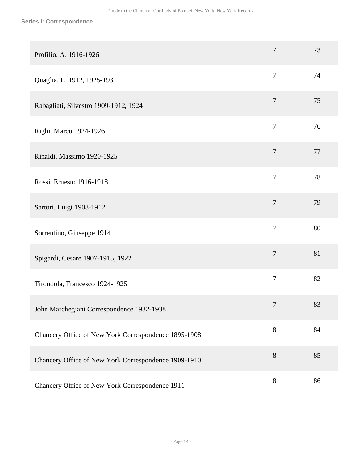| Profilio, A. 1916-1926                               | $\tau$         | 73 |
|------------------------------------------------------|----------------|----|
| Quaglia, L. 1912, 1925-1931                          | $\overline{7}$ | 74 |
| Rabagliati, Silvestro 1909-1912, 1924                | $\tau$         | 75 |
| Righi, Marco 1924-1926                               | $\tau$         | 76 |
| Rinaldi, Massimo 1920-1925                           | $\overline{7}$ | 77 |
| Rossi, Ernesto 1916-1918                             | $\overline{7}$ | 78 |
| Sartori, Luigi 1908-1912                             | $\tau$         | 79 |
| Sorrentino, Giuseppe 1914                            | $\overline{7}$ | 80 |
| Spigardi, Cesare 1907-1915, 1922                     | $\overline{7}$ | 81 |
| Tirondola, Francesco 1924-1925                       | $\overline{7}$ | 82 |
| John Marchegiani Correspondence 1932-1938            | $\tau$         | 83 |
| Chancery Office of New York Correspondence 1895-1908 | $8\,$          | 84 |
| Chancery Office of New York Correspondence 1909-1910 | $8\,$          | 85 |
| Chancery Office of New York Correspondence 1911      | $8\,$          | 86 |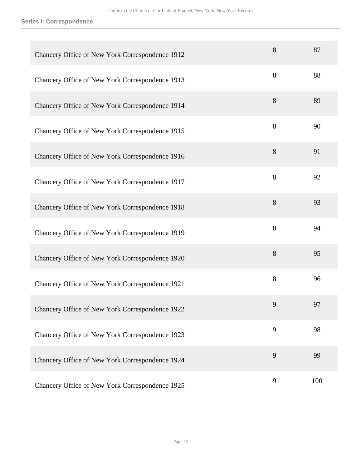| Chancery Office of New York Correspondence 1912 | 8 | 87  |
|-------------------------------------------------|---|-----|
| Chancery Office of New York Correspondence 1913 | 8 | 88  |
| Chancery Office of New York Correspondence 1914 | 8 | 89  |
| Chancery Office of New York Correspondence 1915 | 8 | 90  |
| Chancery Office of New York Correspondence 1916 | 8 | 91  |
| Chancery Office of New York Correspondence 1917 | 8 | 92  |
| Chancery Office of New York Correspondence 1918 | 8 | 93  |
| Chancery Office of New York Correspondence 1919 | 8 | 94  |
| Chancery Office of New York Correspondence 1920 | 8 | 95  |
| Chancery Office of New York Correspondence 1921 | 8 | 96  |
| Chancery Office of New York Correspondence 1922 | 9 | 97  |
| Chancery Office of New York Correspondence 1923 | 9 | 98  |
| Chancery Office of New York Correspondence 1924 | 9 | 99  |
| Chancery Office of New York Correspondence 1925 | 9 | 100 |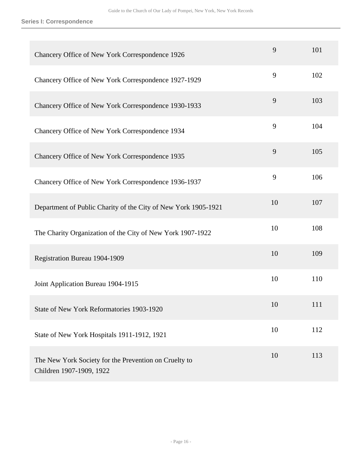| Chancery Office of New York Correspondence 1926                                   | 9  | 101 |
|-----------------------------------------------------------------------------------|----|-----|
| Chancery Office of New York Correspondence 1927-1929                              | 9  | 102 |
| Chancery Office of New York Correspondence 1930-1933                              | 9  | 103 |
| Chancery Office of New York Correspondence 1934                                   | 9  | 104 |
| Chancery Office of New York Correspondence 1935                                   | 9  | 105 |
| Chancery Office of New York Correspondence 1936-1937                              | 9  | 106 |
| Department of Public Charity of the City of New York 1905-1921                    | 10 | 107 |
| The Charity Organization of the City of New York 1907-1922                        | 10 | 108 |
| Registration Bureau 1904-1909                                                     | 10 | 109 |
| Joint Application Bureau 1904-1915                                                | 10 | 110 |
| State of New York Reformatories 1903-1920                                         | 10 | 111 |
| State of New York Hospitals 1911-1912, 1921                                       | 10 | 112 |
| The New York Society for the Prevention on Cruelty to<br>Children 1907-1909, 1922 | 10 | 113 |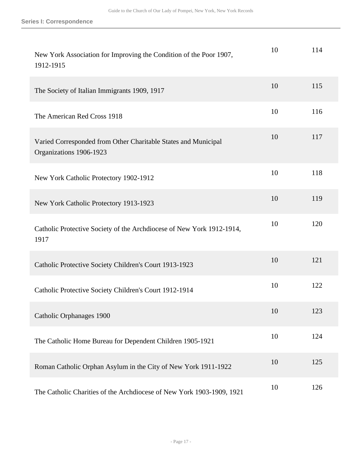| New York Association for Improving the Condition of the Poor 1907,<br>1912-1915           | 10 | 114 |
|-------------------------------------------------------------------------------------------|----|-----|
| The Society of Italian Immigrants 1909, 1917                                              | 10 | 115 |
| The American Red Cross 1918                                                               | 10 | 116 |
| Varied Corresponded from Other Charitable States and Municipal<br>Organizations 1906-1923 | 10 | 117 |
| New York Catholic Protectory 1902-1912                                                    | 10 | 118 |
| New York Catholic Protectory 1913-1923                                                    | 10 | 119 |
| Catholic Protective Society of the Archdiocese of New York 1912-1914,<br>1917             | 10 | 120 |
| Catholic Protective Society Children's Court 1913-1923                                    | 10 | 121 |
| Catholic Protective Society Children's Court 1912-1914                                    | 10 | 122 |
| Catholic Orphanages 1900                                                                  | 10 | 123 |
| The Catholic Home Bureau for Dependent Children 1905-1921                                 | 10 | 124 |
| Roman Catholic Orphan Asylum in the City of New York 1911-1922                            | 10 | 125 |
| The Catholic Charities of the Archdiocese of New York 1903-1909, 1921                     | 10 | 126 |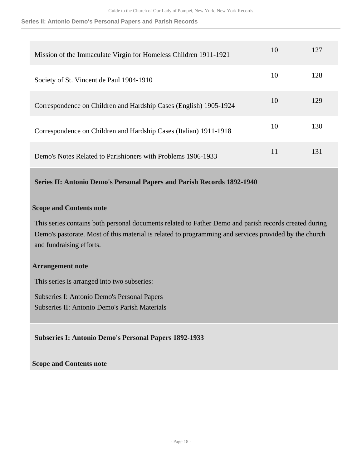#### **Series II: Antonio Demo's Personal Papers and Parish Records**

| Mission of the Immaculate Virgin for Homeless Children 1911-1921  | 10 | 127 |
|-------------------------------------------------------------------|----|-----|
| Society of St. Vincent de Paul 1904-1910                          | 10 | 128 |
| Correspondence on Children and Hardship Cases (English) 1905-1924 | 10 | 129 |
| Correspondence on Children and Hardship Cases (Italian) 1911-1918 | 10 | 130 |
| Demo's Notes Related to Parishioners with Problems 1906-1933      | 11 | 131 |

<span id="page-17-0"></span>**Series II: Antonio Demo's Personal Papers and Parish Records 1892-1940** 

#### **Scope and Contents note**

This series contains both personal documents related to Father Demo and parish records created during Demo's pastorate. Most of this material is related to programming and services provided by the church and fundraising efforts.

#### **Arrangement note**

This series is arranged into two subseries:

Subseries I: Antonio Demo's Personal Papers Subseries II: Antonio Demo's Parish Materials

**Subseries I: Antonio Demo's Personal Papers 1892-1933** 

**Scope and Contents note**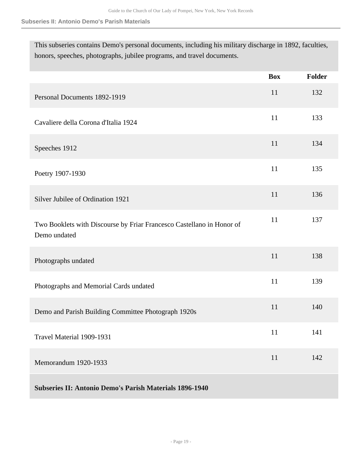This subseries contains Demo's personal documents, including his military discharge in 1892, faculties, honors, speeches, photographs, jubilee programs, and travel documents.

|                                                                                       | <b>Box</b> | Folder |
|---------------------------------------------------------------------------------------|------------|--------|
| Personal Documents 1892-1919                                                          | 11         | 132    |
| Cavaliere della Corona d'Italia 1924                                                  | 11         | 133    |
| Speeches 1912                                                                         | 11         | 134    |
| Poetry 1907-1930                                                                      | 11         | 135    |
| Silver Jubilee of Ordination 1921                                                     | 11         | 136    |
| Two Booklets with Discourse by Friar Francesco Castellano in Honor of<br>Demo undated | 11         | 137    |
| Photographs undated                                                                   | 11         | 138    |
| Photographs and Memorial Cards undated                                                | 11         | 139    |
| Demo and Parish Building Committee Photograph 1920s                                   | 11         | 140    |
| Travel Material 1909-1931                                                             | 11         | 141    |
| Memorandum 1920-1933                                                                  | 11         | 142    |
| <b>Subseries II: Antonio Demo's Parish Materials 1896-1940</b>                        |            |        |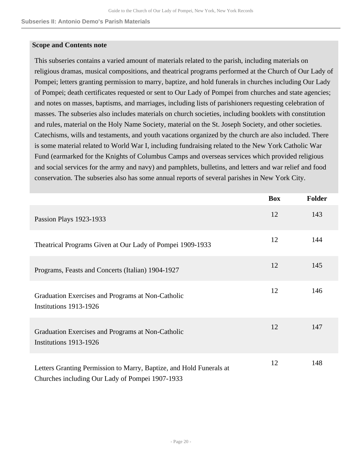#### **Scope and Contents note**

This subseries contains a varied amount of materials related to the parish, including materials on religious dramas, musical compositions, and theatrical programs performed at the Church of Our Lady of Pompei; letters granting permission to marry, baptize, and hold funerals in churches including Our Lady of Pompei; death certificates requested or sent to Our Lady of Pompei from churches and state agencies; and notes on masses, baptisms, and marriages, including lists of parishioners requesting celebration of masses. The subseries also includes materials on church societies, including booklets with constitution and rules, material on the Holy Name Society, material on the St. Joseph Society, and other societies. Catechisms, wills and testaments, and youth vacations organized by the church are also included. There is some material related to World War I, including fundraising related to the New York Catholic War Fund (earmarked for the Knights of Columbus Camps and overseas services which provided religious and social services for the army and navy) and pamphlets, bulletins, and letters and war relief and food conservation. The subseries also has some annual reports of several parishes in New York City.

|                                                                                                                        | <b>Box</b> | <b>Folder</b> |
|------------------------------------------------------------------------------------------------------------------------|------------|---------------|
| Passion Plays 1923-1933                                                                                                | 12         | 143           |
| Theatrical Programs Given at Our Lady of Pompei 1909-1933                                                              | 12         | 144           |
| Programs, Feasts and Concerts (Italian) 1904-1927                                                                      | 12         | 145           |
| Graduation Exercises and Programs at Non-Catholic<br>Institutions 1913-1926                                            | 12         | 146           |
| Graduation Exercises and Programs at Non-Catholic<br>Institutions 1913-1926                                            | 12         | 147           |
| Letters Granting Permission to Marry, Baptize, and Hold Funerals at<br>Churches including Our Lady of Pompei 1907-1933 | 12         | 148           |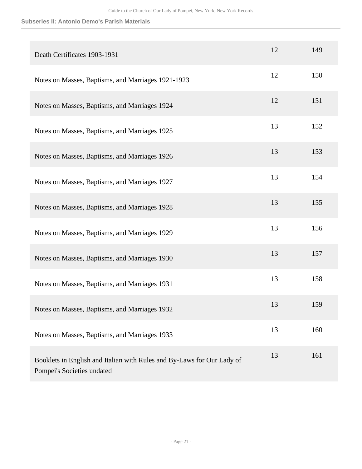| Death Certificates 1903-1931                                                                         | 12 | 149 |
|------------------------------------------------------------------------------------------------------|----|-----|
| Notes on Masses, Baptisms, and Marriages 1921-1923                                                   | 12 | 150 |
| Notes on Masses, Baptisms, and Marriages 1924                                                        | 12 | 151 |
| Notes on Masses, Baptisms, and Marriages 1925                                                        | 13 | 152 |
| Notes on Masses, Baptisms, and Marriages 1926                                                        | 13 | 153 |
| Notes on Masses, Baptisms, and Marriages 1927                                                        | 13 | 154 |
| Notes on Masses, Baptisms, and Marriages 1928                                                        | 13 | 155 |
| Notes on Masses, Baptisms, and Marriages 1929                                                        | 13 | 156 |
| Notes on Masses, Baptisms, and Marriages 1930                                                        | 13 | 157 |
| Notes on Masses, Baptisms, and Marriages 1931                                                        | 13 | 158 |
| Notes on Masses, Baptisms, and Marriages 1932                                                        | 13 | 159 |
| Notes on Masses, Baptisms, and Marriages 1933                                                        | 13 | 160 |
| Booklets in English and Italian with Rules and By-Laws for Our Lady of<br>Pompei's Societies undated | 13 | 161 |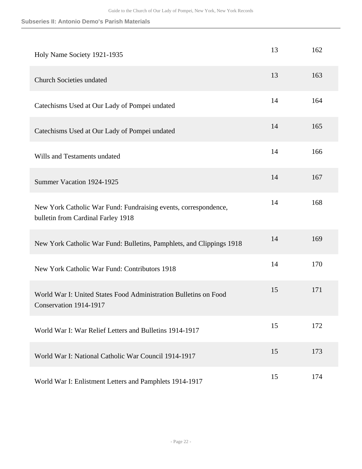| Holy Name Society 1921-1935                                                                           | 13 | 162 |
|-------------------------------------------------------------------------------------------------------|----|-----|
| <b>Church Societies undated</b>                                                                       | 13 | 163 |
| Catechisms Used at Our Lady of Pompei undated                                                         | 14 | 164 |
| Catechisms Used at Our Lady of Pompei undated                                                         | 14 | 165 |
| Wills and Testaments undated                                                                          | 14 | 166 |
| Summer Vacation 1924-1925                                                                             | 14 | 167 |
| New York Catholic War Fund: Fundraising events, correspondence,<br>bulletin from Cardinal Farley 1918 | 14 | 168 |
| New York Catholic War Fund: Bulletins, Pamphlets, and Clippings 1918                                  | 14 | 169 |
| New York Catholic War Fund: Contributors 1918                                                         | 14 | 170 |
| World War I: United States Food Administration Bulletins on Food<br>Conservation 1914-1917            | 15 | 171 |
| World War I: War Relief Letters and Bulletins 1914-1917                                               | 15 | 172 |
| World War I: National Catholic War Council 1914-1917                                                  | 15 | 173 |
| World War I: Enlistment Letters and Pamphlets 1914-1917                                               | 15 | 174 |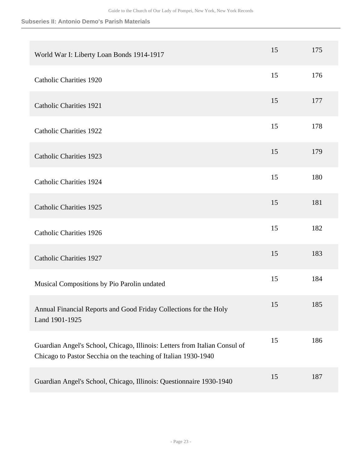| World War I: Liberty Loan Bonds 1914-1917                                                                                                    | 15 | 175 |
|----------------------------------------------------------------------------------------------------------------------------------------------|----|-----|
| <b>Catholic Charities 1920</b>                                                                                                               | 15 | 176 |
| <b>Catholic Charities 1921</b>                                                                                                               | 15 | 177 |
| <b>Catholic Charities 1922</b>                                                                                                               | 15 | 178 |
| <b>Catholic Charities 1923</b>                                                                                                               | 15 | 179 |
| <b>Catholic Charities 1924</b>                                                                                                               | 15 | 180 |
| <b>Catholic Charities 1925</b>                                                                                                               | 15 | 181 |
| <b>Catholic Charities 1926</b>                                                                                                               | 15 | 182 |
| <b>Catholic Charities 1927</b>                                                                                                               | 15 | 183 |
| Musical Compositions by Pio Parolin undated                                                                                                  | 15 | 184 |
| Annual Financial Reports and Good Friday Collections for the Holy<br>Land 1901-1925                                                          | 15 | 185 |
| Guardian Angel's School, Chicago, Illinois: Letters from Italian Consul of<br>Chicago to Pastor Secchia on the teaching of Italian 1930-1940 | 15 | 186 |
| Guardian Angel's School, Chicago, Illinois: Questionnaire 1930-1940                                                                          | 15 | 187 |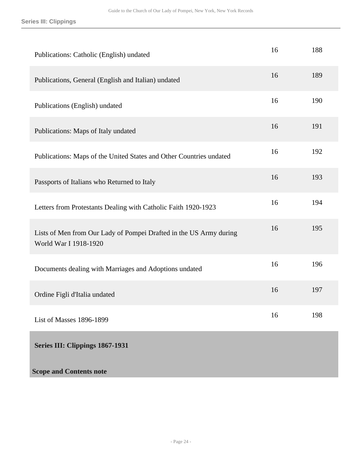<span id="page-23-0"></span>

| Publications: Catholic (English) undated                                                    | 16 | 188 |
|---------------------------------------------------------------------------------------------|----|-----|
| Publications, General (English and Italian) undated                                         | 16 | 189 |
| Publications (English) undated                                                              | 16 | 190 |
| Publications: Maps of Italy undated                                                         | 16 | 191 |
| Publications: Maps of the United States and Other Countries undated                         | 16 | 192 |
| Passports of Italians who Returned to Italy                                                 | 16 | 193 |
| Letters from Protestants Dealing with Catholic Faith 1920-1923                              | 16 | 194 |
| Lists of Men from Our Lady of Pompei Drafted in the US Army during<br>World War I 1918-1920 | 16 | 195 |
| Documents dealing with Marriages and Adoptions undated                                      | 16 | 196 |
| Ordine Figli d'Italia undated                                                               | 16 | 197 |
| List of Masses 1896-1899                                                                    | 16 | 198 |
| Series III: Clippings 1867-1931                                                             |    |     |
| <b>Scope and Contents note</b>                                                              |    |     |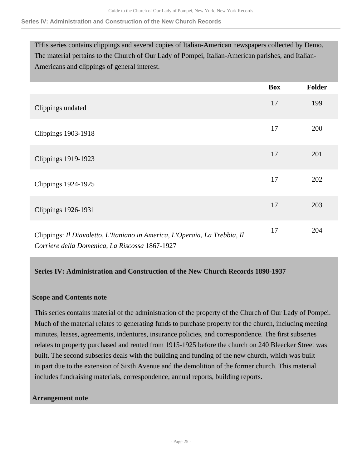#### **Series IV: Administration and Construction of the New Church Records**

THis series contains clippings and several copies of Italian-American newspapers collected by Demo. The material pertains to the Church of Our Lady of Pompei, Italian-American parishes, and Italian-Americans and clippings of general interest.

|                                                                                                                              | <b>Box</b> | <b>Folder</b> |
|------------------------------------------------------------------------------------------------------------------------------|------------|---------------|
| Clippings undated                                                                                                            | 17         | 199           |
| <b>Clippings 1903-1918</b>                                                                                                   | 17         | 200           |
| <b>Clippings 1919-1923</b>                                                                                                   | 17         | 201           |
| Clippings 1924-1925                                                                                                          | 17         | 202           |
| Clippings 1926-1931                                                                                                          | 17         | 203           |
| Clippings: Il Diavoletto, L'Itaniano in America, L'Operaia, La Trebbia, Il<br>Corriere della Domenica, La Riscossa 1867-1927 | 17         | 204           |

#### <span id="page-24-0"></span>**Series IV: Administration and Construction of the New Church Records 1898-1937**

#### **Scope and Contents note**

This series contains material of the administration of the property of the Church of Our Lady of Pompei. Much of the material relates to generating funds to purchase property for the church, including meeting minutes, leases, agreements, indentures, insurance policies, and correspondence. The first subseries relates to property purchased and rented from 1915-1925 before the church on 240 Bleecker Street was built. The second subseries deals with the building and funding of the new church, which was built in part due to the extension of Sixth Avenue and the demolition of the former church. This material includes fundraising materials, correspondence, annual reports, building reports.

#### **Arrangement note**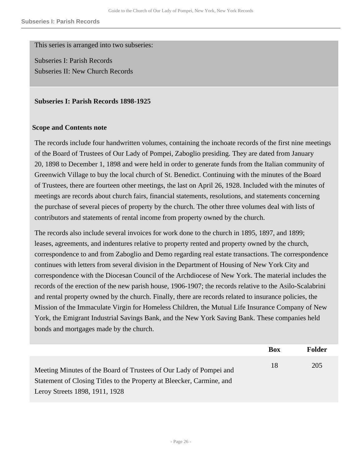This series is arranged into two subseries:

Subseries I: Parish Records Subseries II: New Church Records

#### **Subseries I: Parish Records 1898-1925**

#### **Scope and Contents note**

The records include four handwritten volumes, containing the inchoate records of the first nine meetings of the Board of Trustees of Our Lady of Pompei, Zaboglio presiding. They are dated from January 20, 1898 to December 1, 1898 and were held in order to generate funds from the Italian community of Greenwich Village to buy the local church of St. Benedict. Continuing with the minutes of the Board of Trustees, there are fourteen other meetings, the last on April 26, 1928. Included with the minutes of meetings are records about church fairs, financial statements, resolutions, and statements concerning the purchase of several pieces of property by the church. The other three volumes deal with lists of contributors and statements of rental income from property owned by the church.

The records also include several invoices for work done to the church in 1895, 1897, and 1899; leases, agreements, and indentures relative to property rented and property owned by the church, correspondence to and from Zaboglio and Demo regarding real estate transactions. The correspondence continues with letters from several division in the Department of Housing of New York City and correspondence with the Diocesan Council of the Archdiocese of New York. The material includes the records of the erection of the new parish house, 1906-1907; the records relative to the Asilo-Scalabrini and rental property owned by the church. Finally, there are records related to insurance policies, the Mission of the Immaculate Virgin for Homeless Children, the Mutual Life Insurance Company of New York, the Emigrant Industrial Savings Bank, and the New York Saving Bank. These companies held bonds and mortgages made by the church.

|                                                                                                                                                                               | Box | Folder |
|-------------------------------------------------------------------------------------------------------------------------------------------------------------------------------|-----|--------|
| Meeting Minutes of the Board of Trustees of Our Lady of Pompei and<br>Statement of Closing Titles to the Property at Bleecker, Carmine, and<br>Leroy Streets 1898, 1911, 1928 | 18  | 205    |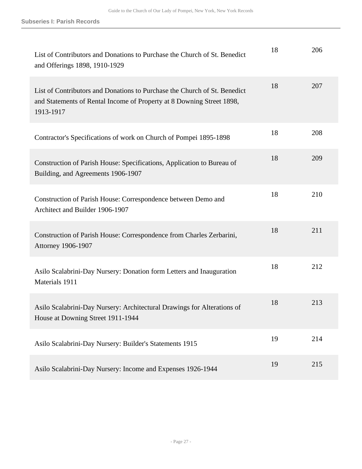| List of Contributors and Donations to Purchase the Church of St. Benedict<br>and Offerings 1898, 1910-1929                                                      | 18 | 206 |
|-----------------------------------------------------------------------------------------------------------------------------------------------------------------|----|-----|
| List of Contributors and Donations to Purchase the Church of St. Benedict<br>and Statements of Rental Income of Property at 8 Downing Street 1898,<br>1913-1917 | 18 | 207 |
| Contractor's Specifications of work on Church of Pompei 1895-1898                                                                                               | 18 | 208 |
| Construction of Parish House: Specifications, Application to Bureau of<br>Building, and Agreements 1906-1907                                                    | 18 | 209 |
| Construction of Parish House: Correspondence between Demo and<br>Architect and Builder 1906-1907                                                                | 18 | 210 |
| Construction of Parish House: Correspondence from Charles Zerbarini,<br><b>Attorney 1906-1907</b>                                                               | 18 | 211 |
| Asilo Scalabrini-Day Nursery: Donation form Letters and Inauguration<br>Materials 1911                                                                          | 18 | 212 |
| Asilo Scalabrini-Day Nursery: Architectural Drawings for Alterations of<br>House at Downing Street 1911-1944                                                    | 18 | 213 |
| Asilo Scalabrini-Day Nursery: Builder's Statements 1915                                                                                                         | 19 | 214 |
| Asilo Scalabrini-Day Nursery: Income and Expenses 1926-1944                                                                                                     | 19 | 215 |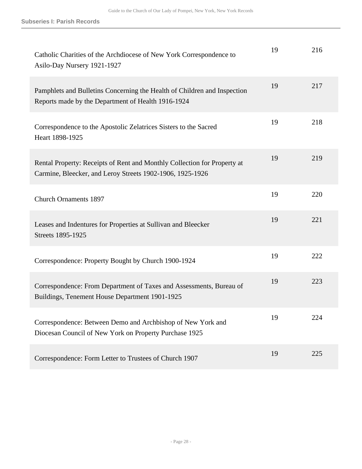| Catholic Charities of the Archdiocese of New York Correspondence to<br>Asilo-Day Nursery 1921-1927                                    | 19 | 216 |
|---------------------------------------------------------------------------------------------------------------------------------------|----|-----|
| Pamphlets and Bulletins Concerning the Health of Children and Inspection<br>Reports made by the Department of Health 1916-1924        | 19 | 217 |
| Correspondence to the Apostolic Zelatrices Sisters to the Sacred<br>Heart 1898-1925                                                   | 19 | 218 |
| Rental Property: Receipts of Rent and Monthly Collection for Property at<br>Carmine, Bleecker, and Leroy Streets 1902-1906, 1925-1926 | 19 | 219 |
| <b>Church Ornaments 1897</b>                                                                                                          | 19 | 220 |
| Leases and Indentures for Properties at Sullivan and Bleecker<br>Streets 1895-1925                                                    | 19 | 221 |
| Correspondence: Property Bought by Church 1900-1924                                                                                   | 19 | 222 |
| Correspondence: From Department of Taxes and Assessments, Bureau of<br>Buildings, Tenement House Department 1901-1925                 | 19 | 223 |
| Correspondence: Between Demo and Archbishop of New York and<br>Diocesan Council of New York on Property Purchase 1925                 | 19 | 224 |
| Correspondence: Form Letter to Trustees of Church 1907                                                                                | 19 | 225 |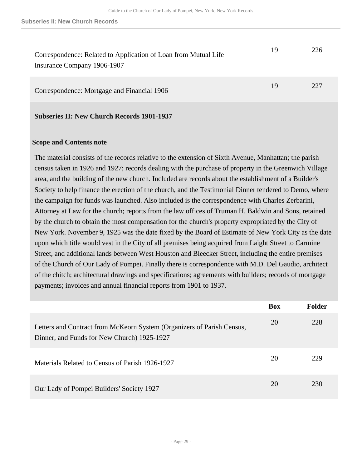| Correspondence: Related to Application of Loan from Mutual Life<br>Insurance Company 1906-1907 | 19 | 226 |
|------------------------------------------------------------------------------------------------|----|-----|
| Correspondence: Mortgage and Financial 1906                                                    | 19 | 227 |

**Subseries II: New Church Records 1901-1937** 

### **Scope and Contents note**

The material consists of the records relative to the extension of Sixth Avenue, Manhattan; the parish census taken in 1926 and 1927; records dealing with the purchase of property in the Greenwich Village area, and the building of the new church. Included are records about the establishment of a Builder's Society to help finance the erection of the church, and the Testimonial Dinner tendered to Demo, where the campaign for funds was launched. Also included is the correspondence with Charles Zerbarini, Attorney at Law for the church; reports from the law offices of Truman H. Baldwin and Sons, retained by the church to obtain the most compensation for the church's property expropriated by the City of New York. November 9, 1925 was the date fixed by the Board of Estimate of New York City as the date upon which title would vest in the City of all premises being acquired from Laight Street to Carmine Street, and additional lands between West Houston and Bleecker Street, including the entire premises of the Church of Our Lady of Pompei. Finally there is correspondence with M.D. Del Gaudio, architect of the chitch; architectural drawings and specifications; agreements with builders; records of mortgage payments; invoices and annual financial reports from 1901 to 1937.

|                                                                                                                       | <b>Box</b> | Folder |
|-----------------------------------------------------------------------------------------------------------------------|------------|--------|
| Letters and Contract from McKeorn System (Organizers of Parish Census,<br>Dinner, and Funds for New Church) 1925-1927 | 20         | 228    |
| Materials Related to Census of Parish 1926-1927                                                                       | 20         | 229    |
| Our Lady of Pompei Builders' Society 1927                                                                             | 20         | 230    |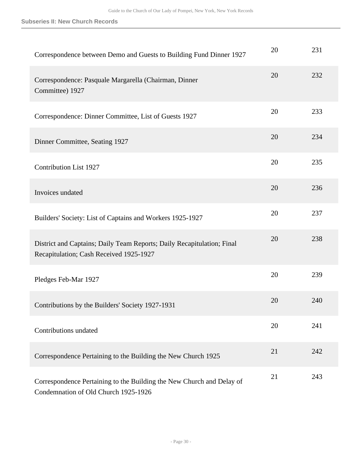#### **Subseries II: New Church Records**

| Correspondence between Demo and Guests to Building Fund Dinner 1927                                               | 20 | 231 |
|-------------------------------------------------------------------------------------------------------------------|----|-----|
| Correspondence: Pasquale Margarella (Chairman, Dinner<br>Committee) 1927                                          | 20 | 232 |
| Correspondence: Dinner Committee, List of Guests 1927                                                             | 20 | 233 |
| Dinner Committee, Seating 1927                                                                                    | 20 | 234 |
| <b>Contribution List 1927</b>                                                                                     | 20 | 235 |
| Invoices undated                                                                                                  | 20 | 236 |
| Builders' Society: List of Captains and Workers 1925-1927                                                         | 20 | 237 |
| District and Captains; Daily Team Reports; Daily Recapitulation; Final<br>Recapitulation; Cash Received 1925-1927 | 20 | 238 |
| Pledges Feb-Mar 1927                                                                                              | 20 | 239 |
| Contributions by the Builders' Society 1927-1931                                                                  | 20 | 240 |
| Contributions undated                                                                                             | 20 | 241 |
| Correspondence Pertaining to the Building the New Church 1925                                                     | 21 | 242 |
| Correspondence Pertaining to the Building the New Church and Delay of<br>Condemnation of Old Church 1925-1926     | 21 | 243 |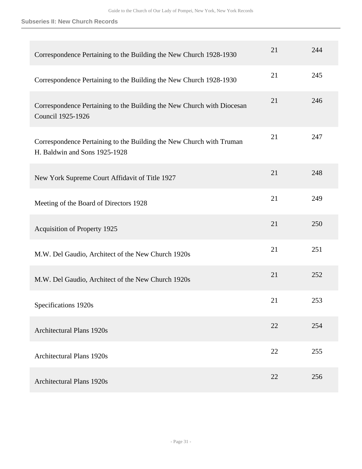#### **Subseries II: New Church Records**

| Correspondence Pertaining to the Building the New Church 1928-1930                                    | 21 | 244 |
|-------------------------------------------------------------------------------------------------------|----|-----|
| Correspondence Pertaining to the Building the New Church 1928-1930                                    | 21 | 245 |
| Correspondence Pertaining to the Building the New Church with Diocesan<br>Council 1925-1926           | 21 | 246 |
| Correspondence Pertaining to the Building the New Church with Truman<br>H. Baldwin and Sons 1925-1928 | 21 | 247 |
| New York Supreme Court Affidavit of Title 1927                                                        | 21 | 248 |
| Meeting of the Board of Directors 1928                                                                | 21 | 249 |
| Acquisition of Property 1925                                                                          | 21 | 250 |
| M.W. Del Gaudio, Architect of the New Church 1920s                                                    | 21 | 251 |
| M.W. Del Gaudio, Architect of the New Church 1920s                                                    | 21 | 252 |
| Specifications 1920s                                                                                  | 21 | 253 |
| <b>Architectural Plans 1920s</b>                                                                      | 22 | 254 |
| <b>Architectural Plans 1920s</b>                                                                      | 22 | 255 |
| <b>Architectural Plans 1920s</b>                                                                      | 22 | 256 |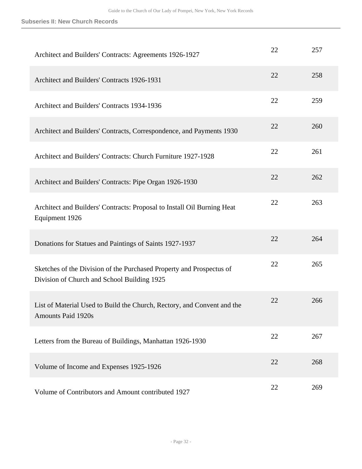| Architect and Builders' Contracts: Agreements 1926-1927                                                             | 22 | 257 |
|---------------------------------------------------------------------------------------------------------------------|----|-----|
| Architect and Builders' Contracts 1926-1931                                                                         | 22 | 258 |
| Architect and Builders' Contracts 1934-1936                                                                         | 22 | 259 |
| Architect and Builders' Contracts, Correspondence, and Payments 1930                                                | 22 | 260 |
| Architect and Builders' Contracts: Church Furniture 1927-1928                                                       | 22 | 261 |
| Architect and Builders' Contracts: Pipe Organ 1926-1930                                                             | 22 | 262 |
| Architect and Builders' Contracts: Proposal to Install Oil Burning Heat<br>Equipment 1926                           | 22 | 263 |
| Donations for Statues and Paintings of Saints 1927-1937                                                             | 22 | 264 |
| Sketches of the Division of the Purchased Property and Prospectus of<br>Division of Church and School Building 1925 | 22 | 265 |
| List of Material Used to Build the Church, Rectory, and Convent and the<br><b>Amounts Paid 1920s</b>                | 22 | 266 |
| Letters from the Bureau of Buildings, Manhattan 1926-1930                                                           | 22 | 267 |
| Volume of Income and Expenses 1925-1926                                                                             | 22 | 268 |
| Volume of Contributors and Amount contributed 1927                                                                  | 22 | 269 |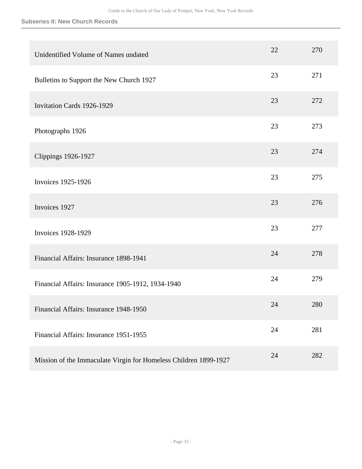#### **Subseries II: New Church Records**

| Unidentified Volume of Names undated                             | 22 | 270 |
|------------------------------------------------------------------|----|-----|
| Bulletins to Support the New Church 1927                         | 23 | 271 |
| <b>Invitation Cards 1926-1929</b>                                | 23 | 272 |
| Photographs 1926                                                 | 23 | 273 |
| <b>Clippings 1926-1927</b>                                       | 23 | 274 |
| <b>Invoices 1925-1926</b>                                        | 23 | 275 |
| Invoices 1927                                                    | 23 | 276 |
| <b>Invoices 1928-1929</b>                                        | 23 | 277 |
| Financial Affairs: Insurance 1898-1941                           | 24 | 278 |
| Financial Affairs: Insurance 1905-1912, 1934-1940                | 24 | 279 |
| Financial Affairs: Insurance 1948-1950                           | 24 | 280 |
| Financial Affairs: Insurance 1951-1955                           | 24 | 281 |
| Mission of the Immaculate Virgin for Homeless Children 1899-1927 | 24 | 282 |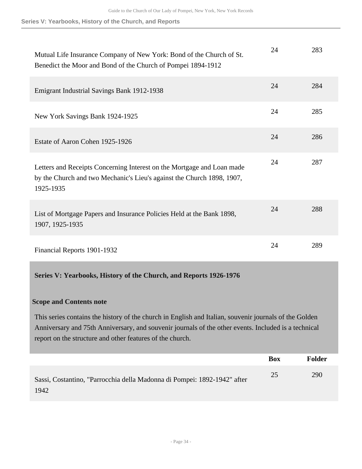**Series V: Yearbooks, History of the Church, and Reports**

| Mutual Life Insurance Company of New York: Bond of the Church of St.<br>Benedict the Moor and Bond of the Church of Pompei 1894-1912                          | 24 | 283 |
|---------------------------------------------------------------------------------------------------------------------------------------------------------------|----|-----|
| Emigrant Industrial Savings Bank 1912-1938                                                                                                                    | 24 | 284 |
| New York Savings Bank 1924-1925                                                                                                                               | 24 | 285 |
| Estate of Aaron Cohen 1925-1926                                                                                                                               | 24 | 286 |
| Letters and Receipts Concerning Interest on the Mortgage and Loan made<br>by the Church and two Mechanic's Lieu's against the Church 1898, 1907,<br>1925-1935 | 24 | 287 |
| List of Mortgage Papers and Insurance Policies Held at the Bank 1898,<br>1907, 1925-1935                                                                      | 24 | 288 |
| Financial Reports 1901-1932                                                                                                                                   | 24 | 289 |

### <span id="page-33-0"></span>**Series V: Yearbooks, History of the Church, and Reports 1926-1976**

### **Scope and Contents note**

This series contains the history of the church in English and Italian, souvenir journals of the Golden Anniversary and 75th Anniversary, and souvenir journals of the other events. Included is a technical report on the structure and other features of the church.

|                                                                                  | <b>Box</b> | <b>Folder</b> |
|----------------------------------------------------------------------------------|------------|---------------|
| Sassi, Costantino, "Parrocchia della Madonna di Pompei: 1892-1942" after<br>1942 | 25         | 290           |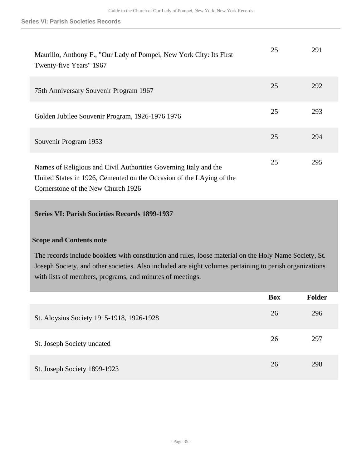| Maurillo, Anthony F., "Our Lady of Pompei, New York City: Its First<br>Twenty-five Years" 1967                                           | 25 | 291 |
|------------------------------------------------------------------------------------------------------------------------------------------|----|-----|
| 75th Anniversary Souvenir Program 1967                                                                                                   | 25 | 292 |
| Golden Jubilee Souvenir Program, 1926-1976 1976                                                                                          | 25 | 293 |
| Souvenir Program 1953                                                                                                                    | 25 | 294 |
| Names of Religious and Civil Authorities Governing Italy and the<br>United States in 1926, Cemented on the Occasion of the LAying of the | 25 | 295 |

Cornerstone of the New Church 1926

## <span id="page-34-0"></span>**Series VI: Parish Societies Records 1899-1937**

### **Scope and Contents note**

The records include booklets with constitution and rules, loose material on the Holy Name Society, St. Joseph Society, and other societies. Also included are eight volumes pertaining to parish organizations with lists of members, programs, and minutes of meetings.

|                                           | <b>Box</b> | <b>Folder</b> |
|-------------------------------------------|------------|---------------|
| St. Aloysius Society 1915-1918, 1926-1928 | 26         | 296           |
| St. Joseph Society undated                | 26         | 297           |
| St. Joseph Society 1899-1923              | 26         | 298           |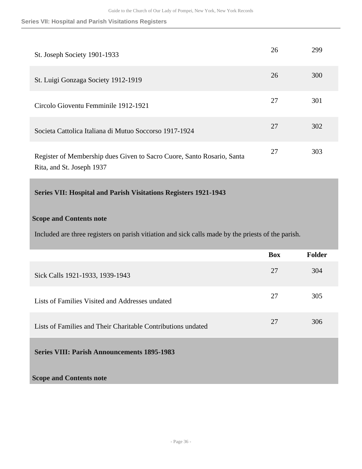**Series VII: Hospital and Parish Visitations Registers**

| St. Joseph Society 1901-1933                                                                        | 26 | 299 |
|-----------------------------------------------------------------------------------------------------|----|-----|
| St. Luigi Gonzaga Society 1912-1919                                                                 | 26 | 300 |
| Circolo Gioventu Femminile 1912-1921                                                                | 27 | 301 |
| Societa Cattolica Italiana di Mutuo Soccorso 1917-1924                                              | 27 | 302 |
| Register of Membership dues Given to Sacro Cuore, Santo Rosario, Santa<br>Rita, and St. Joseph 1937 | 27 | 303 |

## <span id="page-35-0"></span>**Series VII: Hospital and Parish Visitations Registers 1921-1943**

## **Scope and Contents note**

Included are three registers on parish vitiation and sick calls made by the priests of the parish.

<span id="page-35-1"></span>

|                                                              | <b>Box</b> | Folder |
|--------------------------------------------------------------|------------|--------|
| Sick Calls 1921-1933, 1939-1943                              | 27         | 304    |
| Lists of Families Visited and Addresses undated              | 27         | 305    |
| Lists of Families and Their Charitable Contributions undated | 27         | 306    |
| <b>Series VIII: Parish Announcements 1895-1983</b>           |            |        |
| <b>Scope and Contents note</b>                               |            |        |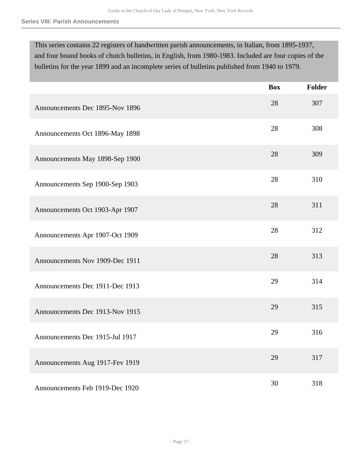This series contains 22 registers of handwritten parish announcements, in Italian, from 1895-1937, and four bound books of chutch bulletins, in English, from 1980-1983. Included are four copies of the bulletins for the year 1899 and an incomplete series of bulletins published from 1940 to 1979.

|                                 | <b>Box</b> | Folder |
|---------------------------------|------------|--------|
| Announcements Dec 1895-Nov 1896 | 28         | 307    |
| Announcements Oct 1896-May 1898 | 28         | 308    |
| Announcements May 1898-Sep 1900 | 28         | 309    |
| Announcements Sep 1900-Sep 1903 | 28         | 310    |
| Announcements Oct 1903-Apr 1907 | 28         | 311    |
| Announcements Apr 1907-Oct 1909 | 28         | 312    |
| Announcements Nov 1909-Dec 1911 | 28         | 313    |
| Announcements Dec 1911-Dec 1913 | 29         | 314    |
| Announcements Dec 1913-Nov 1915 | 29         | 315    |
| Announcements Dec 1915-Jul 1917 | 29         | 316    |
| Announcements Aug 1917-Fev 1919 | 29         | 317    |
| Announcements Feb 1919-Dec 1920 | 30         | 318    |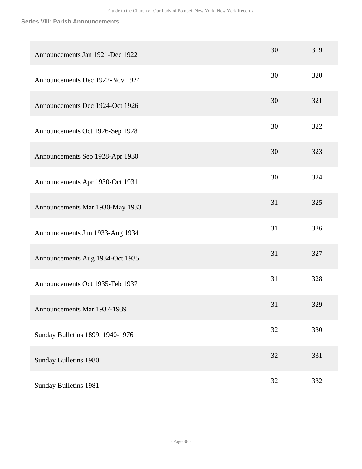## **Series VIII: Parish Announcements**

| Announcements Jan 1921-Dec 1922  | 30 | 319 |
|----------------------------------|----|-----|
| Announcements Dec 1922-Nov 1924  | 30 | 320 |
| Announcements Dec 1924-Oct 1926  | 30 | 321 |
| Announcements Oct 1926-Sep 1928  | 30 | 322 |
| Announcements Sep 1928-Apr 1930  | 30 | 323 |
| Announcements Apr 1930-Oct 1931  | 30 | 324 |
| Announcements Mar 1930-May 1933  | 31 | 325 |
| Announcements Jun 1933-Aug 1934  | 31 | 326 |
| Announcements Aug 1934-Oct 1935  | 31 | 327 |
| Announcements Oct 1935-Feb 1937  | 31 | 328 |
| Announcements Mar 1937-1939      | 31 | 329 |
| Sunday Bulletins 1899, 1940-1976 | 32 | 330 |
| Sunday Bulletins 1980            | 32 | 331 |
| Sunday Bulletins 1981            | 32 | 332 |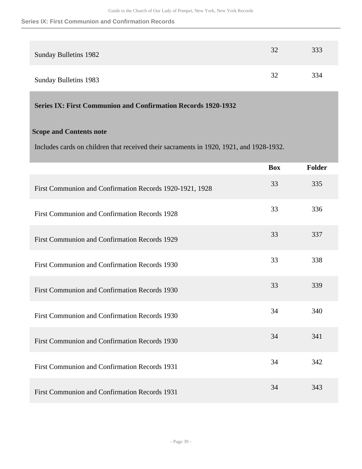#### **Series IX: First Communion and Confirmation Records**

| <b>Sunday Bulletins 1982</b> | 32 | 333 |
|------------------------------|----|-----|
| <b>Sunday Bulletins 1983</b> | 32 | 334 |

## <span id="page-38-0"></span>**Series IX: First Communion and Confirmation Records 1920-1932**

## **Scope and Contents note**

Includes cards on children that received their sacraments in 1920, 1921, and 1928-1932.

|                                                          | <b>Box</b> | Folder |
|----------------------------------------------------------|------------|--------|
| First Communion and Confirmation Records 1920-1921, 1928 | 33         | 335    |
| First Communion and Confirmation Records 1928            | 33         | 336    |
| First Communion and Confirmation Records 1929            | 33         | 337    |
| First Communion and Confirmation Records 1930            | 33         | 338    |
| First Communion and Confirmation Records 1930            | 33         | 339    |
| First Communion and Confirmation Records 1930            | 34         | 340    |
| First Communion and Confirmation Records 1930            | 34         | 341    |
| First Communion and Confirmation Records 1931            | 34         | 342    |
| First Communion and Confirmation Records 1931            | 34         | 343    |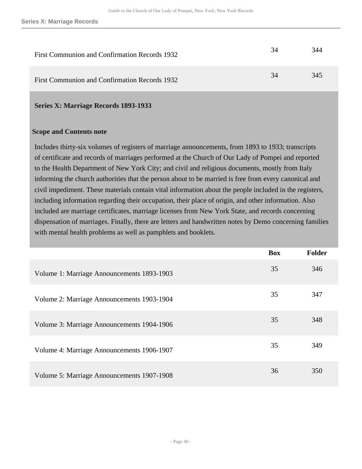| First Communion and Confirmation Records 1932 | 34 | 344 |
|-----------------------------------------------|----|-----|
| First Communion and Confirmation Records 1932 | 34 | 345 |

#### <span id="page-39-0"></span>**Series X: Marriage Records 1893-1933**

#### **Scope and Contents note**

Includes thirty-six volumes of registers of marriage announcements, from 1893 to 1933; transcripts of certificate and records of marriages performed at the Church of Our Lady of Pompei and reported to the Health Department of New York City; and civil and religious documents, mostly from Italy informing the church authorities that the person about to be married is free from every canonical and civil impediment. These materials contain vital information about the people included in the registers, including information regarding their occupation, their place of origin, and other information. Also included are marriage certificates, marriage licenses from New York State, and records concerning dispensation of marriages. Finally, there are letters and handwritten notes by Demo concerning families with mental health problems as well as pamphlets and booklets.

|                                            | <b>Box</b> | <b>Folder</b> |
|--------------------------------------------|------------|---------------|
| Volume 1: Marriage Announcements 1893-1903 | 35         | 346           |
| Volume 2: Marriage Announcements 1903-1904 | 35         | 347           |
| Volume 3: Marriage Announcements 1904-1906 | 35         | 348           |
| Volume 4: Marriage Announcements 1906-1907 | 35         | 349           |
| Volume 5: Marriage Announcements 1907-1908 | 36         | 350           |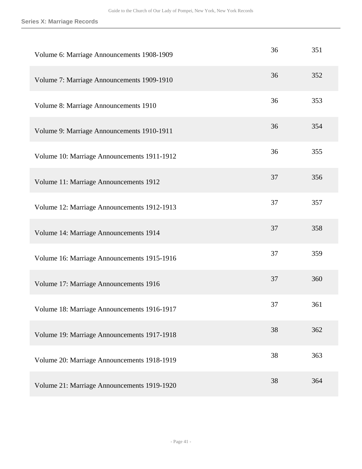| Volume 6: Marriage Announcements 1908-1909  | 36 | 351 |
|---------------------------------------------|----|-----|
| Volume 7: Marriage Announcements 1909-1910  | 36 | 352 |
| Volume 8: Marriage Announcements 1910       | 36 | 353 |
| Volume 9: Marriage Announcements 1910-1911  | 36 | 354 |
| Volume 10: Marriage Announcements 1911-1912 | 36 | 355 |
| Volume 11: Marriage Announcements 1912      | 37 | 356 |
| Volume 12: Marriage Announcements 1912-1913 | 37 | 357 |
| Volume 14: Marriage Announcements 1914      | 37 | 358 |
| Volume 16: Marriage Announcements 1915-1916 | 37 | 359 |
| Volume 17: Marriage Announcements 1916      | 37 | 360 |
| Volume 18: Marriage Announcements 1916-1917 | 37 | 361 |
| Volume 19: Marriage Announcements 1917-1918 | 38 | 362 |
| Volume 20: Marriage Announcements 1918-1919 | 38 | 363 |
| Volume 21: Marriage Announcements 1919-1920 | 38 | 364 |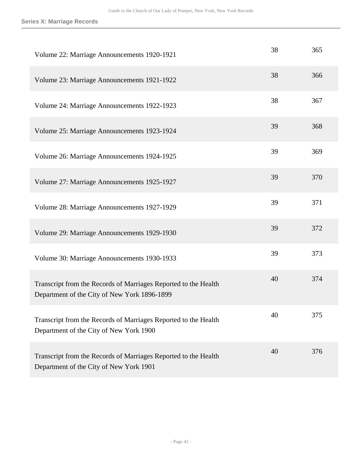| Volume 22: Marriage Announcements 1920-1921                                                                     | 38 | 365 |
|-----------------------------------------------------------------------------------------------------------------|----|-----|
| Volume 23: Marriage Announcements 1921-1922                                                                     | 38 | 366 |
| Volume 24: Marriage Announcements 1922-1923                                                                     | 38 | 367 |
| Volume 25: Marriage Announcements 1923-1924                                                                     | 39 | 368 |
| Volume 26: Marriage Announcements 1924-1925                                                                     | 39 | 369 |
| Volume 27: Marriage Announcements 1925-1927                                                                     | 39 | 370 |
| Volume 28: Marriage Announcements 1927-1929                                                                     | 39 | 371 |
| Volume 29: Marriage Announcements 1929-1930                                                                     | 39 | 372 |
| Volume 30: Marriage Announcements 1930-1933                                                                     | 39 | 373 |
| Transcript from the Records of Marriages Reported to the Health<br>Department of the City of New York 1896-1899 | 40 | 374 |
| Transcript from the Records of Marriages Reported to the Health<br>Department of the City of New York 1900      | 40 | 375 |
| Transcript from the Records of Marriages Reported to the Health<br>Department of the City of New York 1901      | 40 | 376 |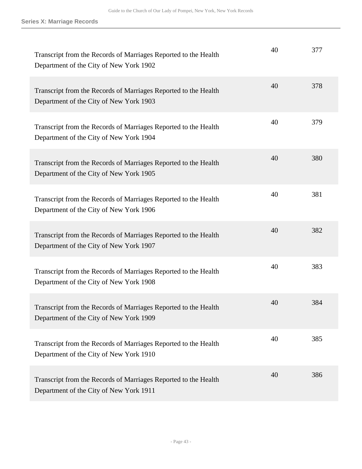| Transcript from the Records of Marriages Reported to the Health<br>Department of the City of New York 1902 | 40 | 377 |
|------------------------------------------------------------------------------------------------------------|----|-----|
| Transcript from the Records of Marriages Reported to the Health<br>Department of the City of New York 1903 | 40 | 378 |
| Transcript from the Records of Marriages Reported to the Health<br>Department of the City of New York 1904 | 40 | 379 |
| Transcript from the Records of Marriages Reported to the Health<br>Department of the City of New York 1905 | 40 | 380 |
| Transcript from the Records of Marriages Reported to the Health<br>Department of the City of New York 1906 | 40 | 381 |
| Transcript from the Records of Marriages Reported to the Health<br>Department of the City of New York 1907 | 40 | 382 |
| Transcript from the Records of Marriages Reported to the Health<br>Department of the City of New York 1908 | 40 | 383 |
| Transcript from the Records of Marriages Reported to the Health<br>Department of the City of New York 1909 | 40 | 384 |
| Transcript from the Records of Marriages Reported to the Health<br>Department of the City of New York 1910 | 40 | 385 |
| Transcript from the Records of Marriages Reported to the Health<br>Department of the City of New York 1911 | 40 | 386 |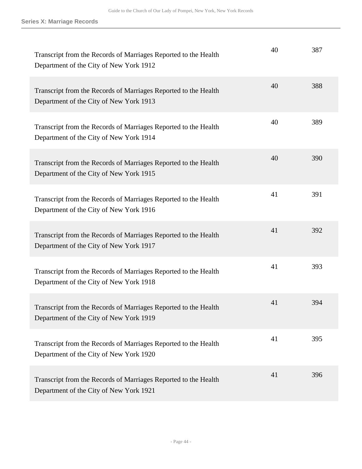| Transcript from the Records of Marriages Reported to the Health<br>Department of the City of New York 1912 | 40 | 387 |
|------------------------------------------------------------------------------------------------------------|----|-----|
| Transcript from the Records of Marriages Reported to the Health<br>Department of the City of New York 1913 | 40 | 388 |
| Transcript from the Records of Marriages Reported to the Health<br>Department of the City of New York 1914 | 40 | 389 |
| Transcript from the Records of Marriages Reported to the Health<br>Department of the City of New York 1915 | 40 | 390 |
| Transcript from the Records of Marriages Reported to the Health<br>Department of the City of New York 1916 | 41 | 391 |
| Transcript from the Records of Marriages Reported to the Health<br>Department of the City of New York 1917 | 41 | 392 |
| Transcript from the Records of Marriages Reported to the Health<br>Department of the City of New York 1918 | 41 | 393 |
| Transcript from the Records of Marriages Reported to the Health<br>Department of the City of New York 1919 | 41 | 394 |
| Transcript from the Records of Marriages Reported to the Health<br>Department of the City of New York 1920 | 41 | 395 |
| Transcript from the Records of Marriages Reported to the Health<br>Department of the City of New York 1921 | 41 | 396 |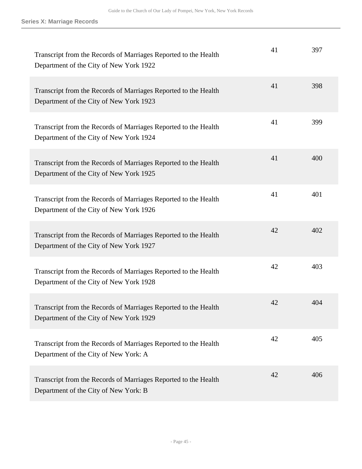| Transcript from the Records of Marriages Reported to the Health<br>Department of the City of New York 1922 | 41 | 397 |
|------------------------------------------------------------------------------------------------------------|----|-----|
| Transcript from the Records of Marriages Reported to the Health<br>Department of the City of New York 1923 | 41 | 398 |
| Transcript from the Records of Marriages Reported to the Health<br>Department of the City of New York 1924 | 41 | 399 |
| Transcript from the Records of Marriages Reported to the Health<br>Department of the City of New York 1925 | 41 | 400 |
| Transcript from the Records of Marriages Reported to the Health<br>Department of the City of New York 1926 | 41 | 401 |
| Transcript from the Records of Marriages Reported to the Health<br>Department of the City of New York 1927 | 42 | 402 |
| Transcript from the Records of Marriages Reported to the Health<br>Department of the City of New York 1928 | 42 | 403 |
| Transcript from the Records of Marriages Reported to the Health<br>Department of the City of New York 1929 | 42 | 404 |
| Transcript from the Records of Marriages Reported to the Health<br>Department of the City of New York: A   | 42 | 405 |
| Transcript from the Records of Marriages Reported to the Health<br>Department of the City of New York: B   | 42 | 406 |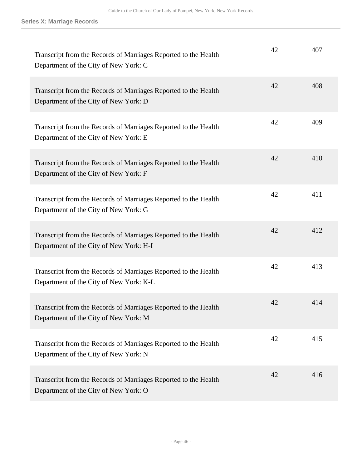| Transcript from the Records of Marriages Reported to the Health<br>Department of the City of New York: C   | 42 | 407 |
|------------------------------------------------------------------------------------------------------------|----|-----|
| Transcript from the Records of Marriages Reported to the Health<br>Department of the City of New York: D   | 42 | 408 |
| Transcript from the Records of Marriages Reported to the Health<br>Department of the City of New York: E   | 42 | 409 |
| Transcript from the Records of Marriages Reported to the Health<br>Department of the City of New York: F   | 42 | 410 |
| Transcript from the Records of Marriages Reported to the Health<br>Department of the City of New York: G   | 42 | 411 |
| Transcript from the Records of Marriages Reported to the Health<br>Department of the City of New York: H-I | 42 | 412 |
| Transcript from the Records of Marriages Reported to the Health<br>Department of the City of New York: K-L | 42 | 413 |
| Transcript from the Records of Marriages Reported to the Health<br>Department of the City of New York: M   | 42 | 414 |
| Transcript from the Records of Marriages Reported to the Health<br>Department of the City of New York: N   | 42 | 415 |
| Transcript from the Records of Marriages Reported to the Health<br>Department of the City of New York: O   | 42 | 416 |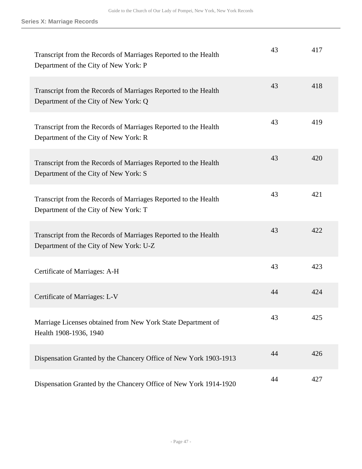| Transcript from the Records of Marriages Reported to the Health<br>Department of the City of New York: P   | 43 | 417 |
|------------------------------------------------------------------------------------------------------------|----|-----|
| Transcript from the Records of Marriages Reported to the Health<br>Department of the City of New York: Q   | 43 | 418 |
| Transcript from the Records of Marriages Reported to the Health<br>Department of the City of New York: R   | 43 | 419 |
| Transcript from the Records of Marriages Reported to the Health<br>Department of the City of New York: S   | 43 | 420 |
| Transcript from the Records of Marriages Reported to the Health<br>Department of the City of New York: T   | 43 | 421 |
| Transcript from the Records of Marriages Reported to the Health<br>Department of the City of New York: U-Z | 43 | 422 |
| Certificate of Marriages: A-H                                                                              | 43 | 423 |
| Certificate of Marriages: L-V                                                                              | 44 | 424 |
| Marriage Licenses obtained from New York State Department of<br>Health 1908-1936, 1940                     | 43 | 425 |
| Dispensation Granted by the Chancery Office of New York 1903-1913                                          | 44 | 426 |
| Dispensation Granted by the Chancery Office of New York 1914-1920                                          | 44 | 427 |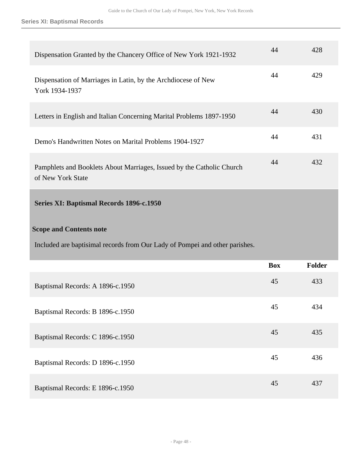| Dispensation Granted by the Chancery Office of New York 1921-1932                          | 44 | 428 |
|--------------------------------------------------------------------------------------------|----|-----|
| Dispensation of Marriages in Latin, by the Archdiocese of New<br>York 1934-1937            | 44 | 429 |
| Letters in English and Italian Concerning Marital Problems 1897-1950                       | 44 | 430 |
| Demo's Handwritten Notes on Marital Problems 1904-1927                                     | 44 | 431 |
| Pamphlets and Booklets About Marriages, Issued by the Catholic Church<br>of New York State | 44 | 432 |

## <span id="page-47-0"></span>**Series XI: Baptismal Records 1896-c.1950**

## **Scope and Contents note**

Included are baptisimal records from Our Lady of Pompei and other parishes.

|                                  | <b>Box</b> | Folder |
|----------------------------------|------------|--------|
| Baptismal Records: A 1896-c.1950 | 45         | 433    |
| Baptismal Records: B 1896-c.1950 | 45         | 434    |
| Baptismal Records: C 1896-c.1950 | 45         | 435    |
| Baptismal Records: D 1896-c.1950 | 45         | 436    |
| Baptismal Records: E 1896-c.1950 | 45         | 437    |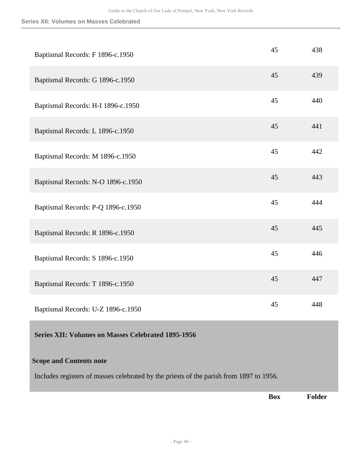| Baptismal Records: F 1896-c.1950   | 45 | 438 |
|------------------------------------|----|-----|
| Baptismal Records: G 1896-c.1950   | 45 | 439 |
| Baptismal Records: H-I 1896-c.1950 | 45 | 440 |
| Baptismal Records: L 1896-c.1950   | 45 | 441 |
| Baptismal Records: M 1896-c.1950   | 45 | 442 |
| Baptismal Records: N-O 1896-c.1950 | 45 | 443 |
| Baptismal Records: P-Q 1896-c.1950 | 45 | 444 |
| Baptismal Records: R 1896-c.1950   | 45 | 445 |
| Baptismal Records: S 1896-c.1950   | 45 | 446 |
| Baptismal Records: T 1896-c.1950   | 45 | 447 |
| Baptismal Records: U-Z 1896-c.1950 | 45 | 448 |

## <span id="page-48-0"></span>**Series XII: Volumes on Masses Celebrated 1895-1956**

## **Scope and Contents note**

Includes registers of masses celebrated by the priests of the parish from 1897 to 1956.

**Box Folder**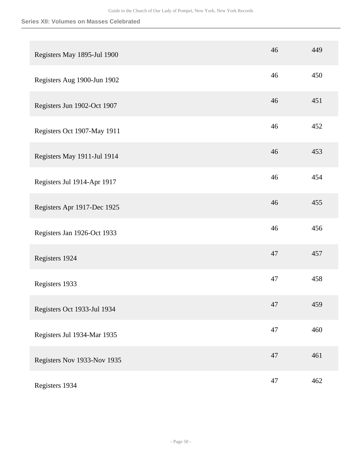| Registers May 1895-Jul 1900 | 46 | 449 |
|-----------------------------|----|-----|
| Registers Aug 1900-Jun 1902 | 46 | 450 |
| Registers Jun 1902-Oct 1907 | 46 | 451 |
| Registers Oct 1907-May 1911 | 46 | 452 |
| Registers May 1911-Jul 1914 | 46 | 453 |
| Registers Jul 1914-Apr 1917 | 46 | 454 |
| Registers Apr 1917-Dec 1925 | 46 | 455 |
| Registers Jan 1926-Oct 1933 | 46 | 456 |
| Registers 1924              | 47 | 457 |
| Registers 1933              | 47 | 458 |
| Registers Oct 1933-Jul 1934 | 47 | 459 |
| Registers Jul 1934-Mar 1935 | 47 | 460 |
| Registers Nov 1933-Nov 1935 | 47 | 461 |
| Registers 1934              | 47 | 462 |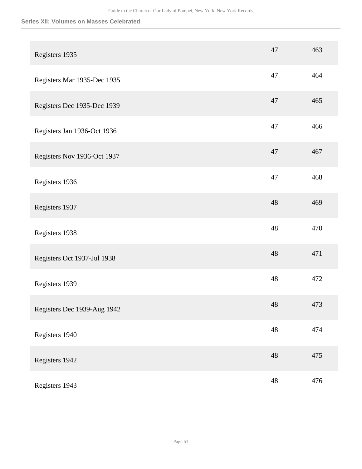| Registers 1935              | 47          | 463 |
|-----------------------------|-------------|-----|
| Registers Mar 1935-Dec 1935 | 47          | 464 |
| Registers Dec 1935-Dec 1939 | 47          | 465 |
| Registers Jan 1936-Oct 1936 | 47          | 466 |
| Registers Nov 1936-Oct 1937 | 47          | 467 |
| Registers 1936              | 47          | 468 |
| Registers 1937              | 48          | 469 |
| Registers 1938              | 48          | 470 |
| Registers Oct 1937-Jul 1938 | 48          | 471 |
| Registers 1939              | 48          | 472 |
| Registers Dec 1939-Aug 1942 | $\sqrt{48}$ | 473 |
| Registers 1940              | $\sqrt{48}$ | 474 |
| Registers 1942              | 48          | 475 |
| Registers 1943              | $\sqrt{48}$ | 476 |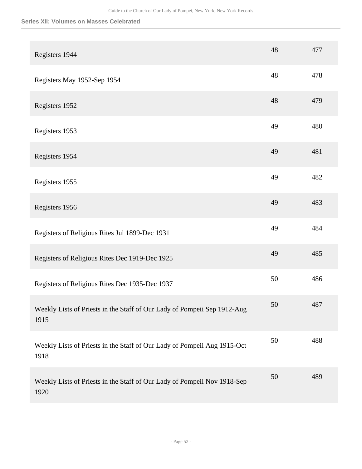| Registers 1944                                                                   | 48 | 477 |
|----------------------------------------------------------------------------------|----|-----|
| Registers May 1952-Sep 1954                                                      | 48 | 478 |
| Registers 1952                                                                   | 48 | 479 |
| Registers 1953                                                                   | 49 | 480 |
| Registers 1954                                                                   | 49 | 481 |
| Registers 1955                                                                   | 49 | 482 |
| Registers 1956                                                                   | 49 | 483 |
| Registers of Religious Rites Jul 1899-Dec 1931                                   | 49 | 484 |
| Registers of Religious Rites Dec 1919-Dec 1925                                   | 49 | 485 |
| Registers of Religious Rites Dec 1935-Dec 1937                                   | 50 | 486 |
| Weekly Lists of Priests in the Staff of Our Lady of Pompeii Sep 1912-Aug<br>1915 | 50 | 487 |
| Weekly Lists of Priests in the Staff of Our Lady of Pompeii Aug 1915-Oct<br>1918 | 50 | 488 |
| Weekly Lists of Priests in the Staff of Our Lady of Pompeii Nov 1918-Sep<br>1920 | 50 | 489 |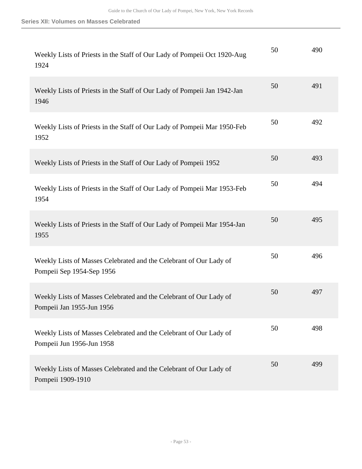| Weekly Lists of Priests in the Staff of Our Lady of Pompeii Oct 1920-Aug<br>1924                | 50 | 490 |
|-------------------------------------------------------------------------------------------------|----|-----|
| Weekly Lists of Priests in the Staff of Our Lady of Pompeii Jan 1942-Jan<br>1946                | 50 | 491 |
| Weekly Lists of Priests in the Staff of Our Lady of Pompeii Mar 1950-Feb<br>1952                | 50 | 492 |
| Weekly Lists of Priests in the Staff of Our Lady of Pompeii 1952                                | 50 | 493 |
| Weekly Lists of Priests in the Staff of Our Lady of Pompeii Mar 1953-Feb<br>1954                | 50 | 494 |
| Weekly Lists of Priests in the Staff of Our Lady of Pompeii Mar 1954-Jan<br>1955                | 50 | 495 |
| Weekly Lists of Masses Celebrated and the Celebrant of Our Lady of<br>Pompeii Sep 1954-Sep 1956 | 50 | 496 |
| Weekly Lists of Masses Celebrated and the Celebrant of Our Lady of<br>Pompeii Jan 1955-Jun 1956 | 50 | 497 |
| Weekly Lists of Masses Celebrated and the Celebrant of Our Lady of<br>Pompeii Jun 1956-Jun 1958 | 50 | 498 |
| Weekly Lists of Masses Celebrated and the Celebrant of Our Lady of<br>Pompeii 1909-1910         | 50 | 499 |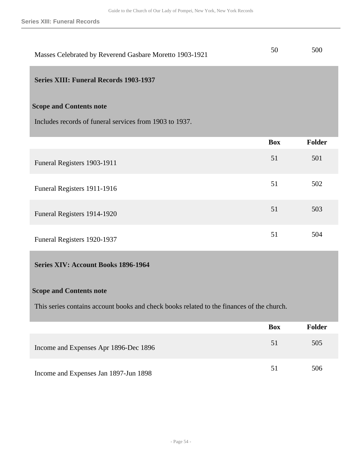**Series XIII: Funeral Records**

| Masses Celebrated by Reverend Gasbare Moretto 1903-1921 | 50 | 500 |
|---------------------------------------------------------|----|-----|
|                                                         |    |     |

## <span id="page-53-0"></span>**Series XIII: Funeral Records 1903-1937**

## **Scope and Contents note**

Includes records of funeral services from 1903 to 1937.

|                             | <b>Box</b> | Folder |
|-----------------------------|------------|--------|
| Funeral Registers 1903-1911 | 51         | 501    |
| Funeral Registers 1911-1916 | 51         | 502    |
| Funeral Registers 1914-1920 | 51         | 503    |
| Funeral Registers 1920-1937 | 51         | 504    |

## <span id="page-53-1"></span>**Series XIV: Account Books 1896-1964**

## **Scope and Contents note**

This series contains account books and check books related to the finances of the church.

|                                       | <b>Box</b> | <b>Folder</b> |
|---------------------------------------|------------|---------------|
| Income and Expenses Apr 1896-Dec 1896 | 51         | 505           |
| Income and Expenses Jan 1897-Jun 1898 | 51         | 506           |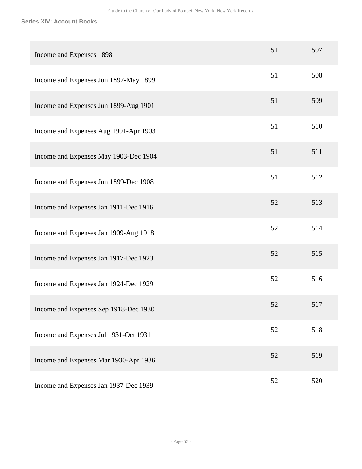#### **Series XIV: Account Books**

| Income and Expenses 1898              | 51 | 507 |
|---------------------------------------|----|-----|
| Income and Expenses Jun 1897-May 1899 | 51 | 508 |
| Income and Expenses Jun 1899-Aug 1901 | 51 | 509 |
| Income and Expenses Aug 1901-Apr 1903 | 51 | 510 |
| Income and Expenses May 1903-Dec 1904 | 51 | 511 |
| Income and Expenses Jun 1899-Dec 1908 | 51 | 512 |
| Income and Expenses Jan 1911-Dec 1916 | 52 | 513 |
| Income and Expenses Jan 1909-Aug 1918 | 52 | 514 |
| Income and Expenses Jan 1917-Dec 1923 | 52 | 515 |
| Income and Expenses Jan 1924-Dec 1929 | 52 | 516 |
| Income and Expenses Sep 1918-Dec 1930 | 52 | 517 |
| Income and Expenses Jul 1931-Oct 1931 | 52 | 518 |
| Income and Expenses Mar 1930-Apr 1936 | 52 | 519 |
| Income and Expenses Jan 1937-Dec 1939 | 52 | 520 |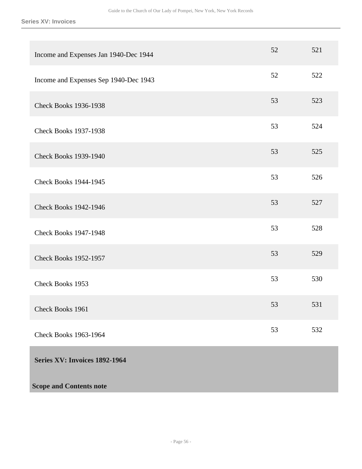**Series XV: Invoices**

<span id="page-55-0"></span>

| Income and Expenses Jan 1940-Dec 1944 | 52 | 521 |
|---------------------------------------|----|-----|
| Income and Expenses Sep 1940-Dec 1943 | 52 | 522 |
| <b>Check Books 1936-1938</b>          | 53 | 523 |
| <b>Check Books 1937-1938</b>          | 53 | 524 |
| <b>Check Books 1939-1940</b>          | 53 | 525 |
| <b>Check Books 1944-1945</b>          | 53 | 526 |
| <b>Check Books 1942-1946</b>          | 53 | 527 |
| <b>Check Books 1947-1948</b>          | 53 | 528 |
| <b>Check Books 1952-1957</b>          | 53 | 529 |
| Check Books 1953                      | 53 | 530 |
| Check Books 1961                      | 53 | 531 |
| <b>Check Books 1963-1964</b>          | 53 | 532 |
| Series XV: Invoices 1892-1964         |    |     |
| <b>Scope and Contents note</b>        |    |     |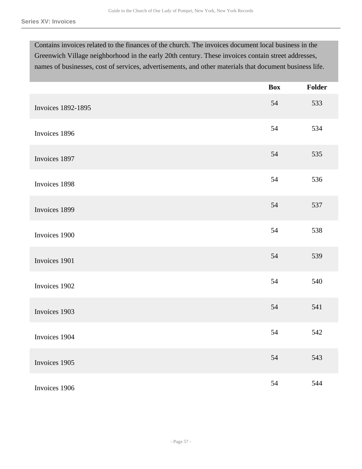Contains invoices related to the finances of the church. The invoices document local business in the Greenwich Village neighborhood in the early 20th century. These invoices contain street addresses, names of businesses, cost of services, advertisements, and other materials that document business life.

|                           | <b>Box</b> | Folder |
|---------------------------|------------|--------|
| <b>Invoices 1892-1895</b> | 54         | 533    |
| Invoices 1896             | 54         | 534    |
| Invoices 1897             | 54         | 535    |
| Invoices 1898             | 54         | 536    |
| Invoices 1899             | 54         | 537    |
| Invoices 1900             | 54         | 538    |
| Invoices 1901             | 54         | 539    |
| Invoices 1902             | 54         | 540    |
| Invoices 1903             | 54         | 541    |
| Invoices 1904             | 54         | 542    |
| Invoices 1905             | 54         | 543    |
| Invoices 1906             | 54         | 544    |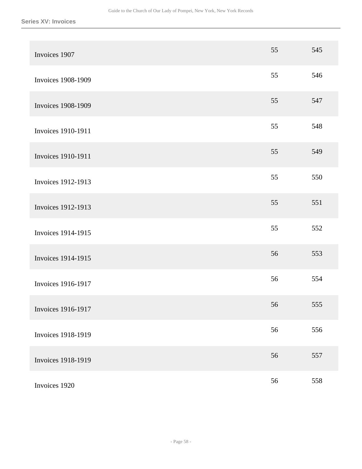| Invoices 1907             | 55 | 545 |
|---------------------------|----|-----|
| <b>Invoices 1908-1909</b> | 55 | 546 |
| <b>Invoices 1908-1909</b> | 55 | 547 |
| <b>Invoices 1910-1911</b> | 55 | 548 |
| <b>Invoices 1910-1911</b> | 55 | 549 |
| <b>Invoices 1912-1913</b> | 55 | 550 |
| Invoices 1912-1913        | 55 | 551 |
| Invoices 1914-1915        | 55 | 552 |
| Invoices 1914-1915        | 56 | 553 |
| <b>Invoices 1916-1917</b> | 56 | 554 |
| Invoices 1916-1917        | 56 | 555 |
| <b>Invoices 1918-1919</b> | 56 | 556 |
| <b>Invoices 1918-1919</b> | 56 | 557 |
| Invoices 1920             | 56 | 558 |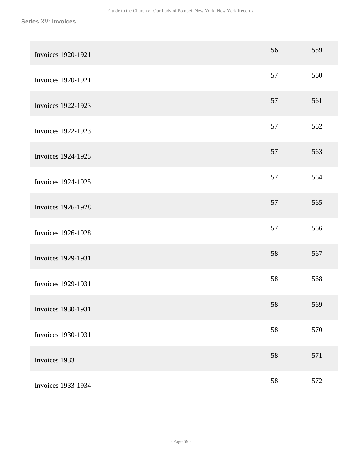| <b>Invoices 1920-1921</b> | 56 | 559 |
|---------------------------|----|-----|
| Invoices 1920-1921        | 57 | 560 |
| Invoices 1922-1923        | 57 | 561 |
| <b>Invoices 1922-1923</b> | 57 | 562 |
| <b>Invoices 1924-1925</b> | 57 | 563 |
| Invoices 1924-1925        | 57 | 564 |
| <b>Invoices 1926-1928</b> | 57 | 565 |
| <b>Invoices 1926-1928</b> | 57 | 566 |
| <b>Invoices 1929-1931</b> | 58 | 567 |
| <b>Invoices 1929-1931</b> | 58 | 568 |
| Invoices 1930-1931        | 58 | 569 |
| <b>Invoices 1930-1931</b> | 58 | 570 |
| Invoices 1933             | 58 | 571 |
| Invoices 1933-1934        | 58 | 572 |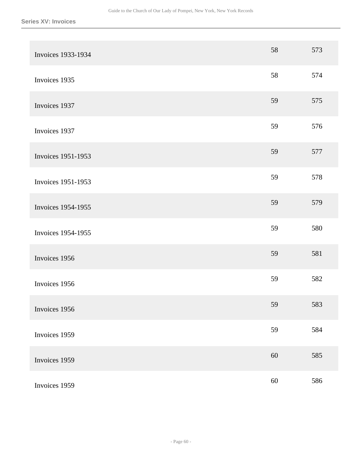| Invoices 1933-1934        | 58     | 573 |
|---------------------------|--------|-----|
| Invoices 1935             | 58     | 574 |
| Invoices 1937             | 59     | 575 |
| Invoices 1937             | 59     | 576 |
| <b>Invoices 1951-1953</b> | 59     | 577 |
| <b>Invoices 1951-1953</b> | 59     | 578 |
| Invoices 1954-1955        | 59     | 579 |
| <b>Invoices 1954-1955</b> | 59     | 580 |
| Invoices 1956             | 59     | 581 |
| Invoices 1956             | 59     | 582 |
| Invoices 1956             | 59     | 583 |
| Invoices 1959             | 59     | 584 |
| Invoices 1959             | $60\,$ | 585 |
| Invoices 1959             | $60\,$ | 586 |